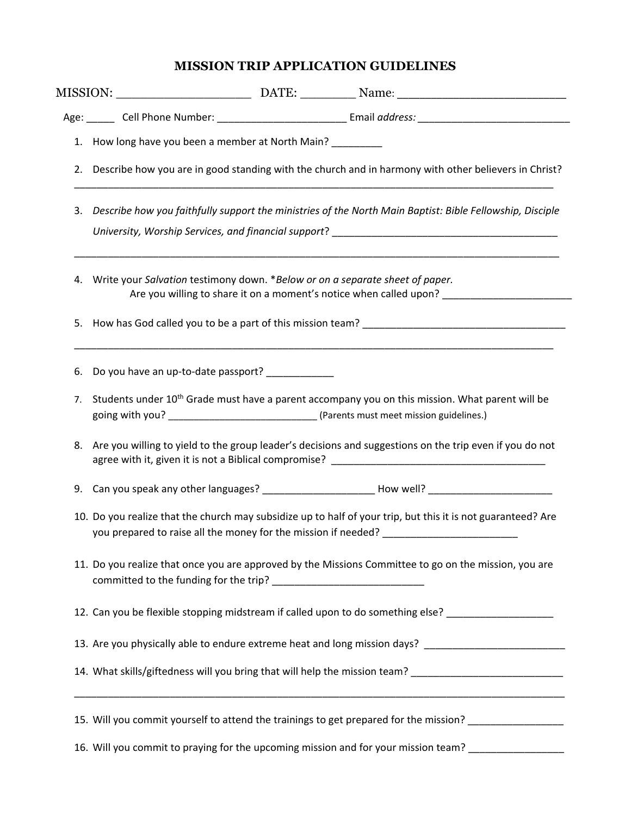## **MISSION TRIP APPLICATION GUIDELINES**

|    | 1. How long have you been a member at North Main? _________                                                                                                                                             |                                                                                                                                                                                         |                                                                                                             |  |
|----|---------------------------------------------------------------------------------------------------------------------------------------------------------------------------------------------------------|-----------------------------------------------------------------------------------------------------------------------------------------------------------------------------------------|-------------------------------------------------------------------------------------------------------------|--|
| 2. | Describe how you are in good standing with the church and in harmony with other believers in Christ?                                                                                                    |                                                                                                                                                                                         |                                                                                                             |  |
| 3. |                                                                                                                                                                                                         |                                                                                                                                                                                         | Describe how you faithfully support the ministries of the North Main Baptist: Bible Fellowship, Disciple    |  |
|    |                                                                                                                                                                                                         | 4. Write your Salvation testimony down. *Below or on a separate sheet of paper.<br>Are you willing to share it on a moment's notice when called upon? _________________________________ |                                                                                                             |  |
| 5. |                                                                                                                                                                                                         |                                                                                                                                                                                         |                                                                                                             |  |
| 6. | Do you have an up-to-date passport? ___________                                                                                                                                                         |                                                                                                                                                                                         |                                                                                                             |  |
| 7. | going with you? ________________________________(Parents must meet mission guidelines.)                                                                                                                 |                                                                                                                                                                                         | Students under 10 <sup>th</sup> Grade must have a parent accompany you on this mission. What parent will be |  |
| 8. | Are you willing to yield to the group leader's decisions and suggestions on the trip even if you do not                                                                                                 |                                                                                                                                                                                         |                                                                                                             |  |
| 9. |                                                                                                                                                                                                         |                                                                                                                                                                                         |                                                                                                             |  |
|    | 10. Do you realize that the church may subsidize up to half of your trip, but this it is not guaranteed? Are<br>you prepared to raise all the money for the mission if needed? ________________________ |                                                                                                                                                                                         |                                                                                                             |  |
|    | 11. Do you realize that once you are approved by the Missions Committee to go on the mission, you are                                                                                                   |                                                                                                                                                                                         |                                                                                                             |  |
|    |                                                                                                                                                                                                         |                                                                                                                                                                                         | 12. Can you be flexible stopping midstream if called upon to do something else? __________________          |  |
|    | 13. Are you physically able to endure extreme heat and long mission days? __________________________                                                                                                    |                                                                                                                                                                                         |                                                                                                             |  |
|    |                                                                                                                                                                                                         |                                                                                                                                                                                         | 14. What skills/giftedness will you bring that will help the mission team? _________________________        |  |
|    |                                                                                                                                                                                                         |                                                                                                                                                                                         | 15. Will you commit yourself to attend the trainings to get prepared for the mission? ______________        |  |
|    |                                                                                                                                                                                                         |                                                                                                                                                                                         | 16. Will you commit to praying for the upcoming mission and for your mission team? ________________         |  |